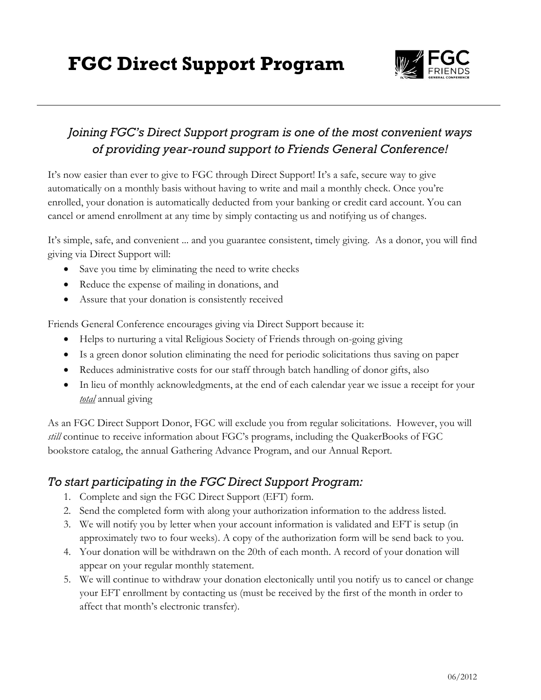**FGC Direct Support Program**



### *Joining FGC's Direct Support program is one of the most convenient ways of providing year-round support to Friends General Conference!*

It's now easier than ever to give to FGC through Direct Support! It's a safe, secure way to give automatically on a monthly basis without having to write and mail a monthly check. Once you're enrolled, your donation is automatically deducted from your banking or credit card account. You can cancel or amend enrollment at any time by simply contacting us and notifying us of changes.

It's simple, safe, and convenient ... and you guarantee consistent, timely giving. As a donor, you will find giving via Direct Support will:

- Save you time by eliminating the need to write checks
- Reduce the expense of mailing in donations, and
- Assure that your donation is consistently received

Friends General Conference encourages giving via Direct Support because it:

- Helps to nurturing a vital Religious Society of Friends through on-going giving
- Is a green donor solution eliminating the need for periodic solicitations thus saving on paper
- Reduces administrative costs for our staff through batch handling of donor gifts, also
- In lieu of monthly acknowledgments, at the end of each calendar year we issue a receipt for your *total* annual giving

As an FGC Direct Support Donor, FGC will exclude you from regular solicitations. However, you will *still* continue to receive information about FGC's programs, including the QuakerBooks of FGC bookstore catalog, the annual Gathering Advance Program, and our Annual Report.

#### *To start participating in the FGC Direct Support Program:*

- 1. Complete and sign the FGC Direct Support (EFT) form.
- 2. Send the completed form with along your authorization information to the address listed.
- 3. We will notify you by letter when your account information is validated and EFT is setup (in approximately two to four weeks). A copy of the authorization form will be send back to you.
- 4. Your donation will be withdrawn on the 20th of each month. A record of your donation will appear on your regular monthly statement.
- 5. We will continue to withdraw your donation electonically until you notify us to cancel or change your EFT enrollment by contacting us (must be received by the first of the month in order to affect that month's electronic transfer).